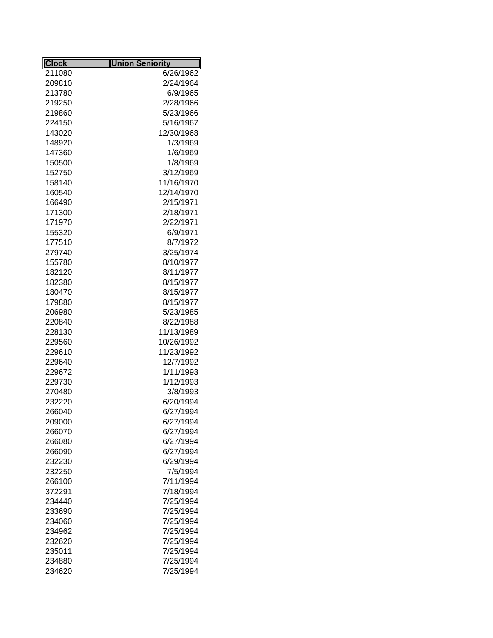| <b>Clock</b> | <b>Union Seniority</b> |
|--------------|------------------------|
| 211080       | 6/26/1962              |
| 209810       | 2/24/1964              |
| 213780       | 6/9/1965               |
| 219250       | 2/28/1966              |
| 219860       | 5/23/1966              |
| 224150       | 5/16/1967              |
| 143020       | 12/30/1968             |
| 148920       | 1/3/1969               |
| 147360       | 1/6/1969               |
| 150500       | 1/8/1969               |
| 152750       | 3/12/1969              |
| 158140       | 11/16/1970             |
| 160540       | 12/14/1970             |
| 166490       | 2/15/1971              |
| 171300       | 2/18/1971              |
| 171970       | 2/22/1971              |
| 155320       | 6/9/1971               |
| 177510       | 8/7/1972               |
| 279740       | 3/25/1974              |
| 155780       | 8/10/1977              |
| 182120       | 8/11/1977              |
| 182380       | 8/15/1977              |
| 180470       | 8/15/1977              |
| 179880       | 8/15/1977              |
| 206980       | 5/23/1985              |
| 220840       | 8/22/1988              |
| 228130       | 11/13/1989             |
| 229560       | 10/26/1992             |
| 229610       | 11/23/1992             |
| 229640       | 12/7/1992              |
| 229672       | 1/11/1993              |
| 229730       | 1/12/1993              |
| 270480       | 3/8/1993               |
| 232220       | 6/20/1994              |
| 266040       | 6/27/1994              |
| 209000       | 6/27/1994              |
| 266070       | 6/27/1994              |
| 266080       | 6/27/1994              |
| 266090       | 6/27/1994              |
| 232230       | 6/29/1994              |
| 232250       | 7/5/1994               |
| 266100       | 7/11/1994              |
| 372291       | 7/18/1994              |
| 234440       | 7/25/1994              |
| 233690       | 7/25/1994              |
| 234060       | 7/25/1994              |
| 234962       | 7/25/1994              |
| 232620       | 7/25/1994              |
| 235011       | 7/25/1994              |
| 234880       | 7/25/1994              |
| 234620       | 7/25/1994              |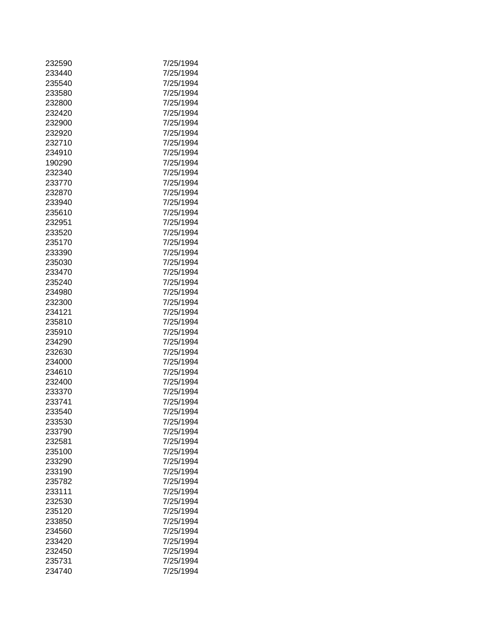| 232590 | 7/25/1994 |
|--------|-----------|
| 233440 | 7/25/1994 |
|        |           |
| 235540 | 7/25/1994 |
| 233580 | 7/25/1994 |
| 232800 | 7/25/1994 |
| 232420 | 7/25/1994 |
| 232900 | 7/25/1994 |
| 232920 | 7/25/1994 |
| 232710 | 7/25/1994 |
| 234910 | 7/25/1994 |
| 190290 | 7/25/1994 |
| 232340 | 7/25/1994 |
| 233770 | 7/25/1994 |
| 232870 | 7/25/1994 |
| 233940 | 7/25/1994 |
| 235610 | 7/25/1994 |
| 232951 | 7/25/1994 |
|        |           |
| 233520 | 7/25/1994 |
| 235170 | 7/25/1994 |
| 233390 | 7/25/1994 |
| 235030 | 7/25/1994 |
| 233470 | 7/25/1994 |
| 235240 | 7/25/1994 |
| 234980 | 7/25/1994 |
| 232300 | 7/25/1994 |
| 234121 | 7/25/1994 |
| 235810 | 7/25/1994 |
| 235910 | 7/25/1994 |
| 234290 | 7/25/1994 |
| 232630 | 7/25/1994 |
| 234000 | 7/25/1994 |
| 234610 | 7/25/1994 |
| 232400 | 7/25/1994 |
| 233370 | 7/25/1994 |
|        |           |
| 233741 | 7/25/1994 |
| 233540 | 7/25/1994 |
| 233530 | 7/25/1994 |
| 233790 | 7/25/1994 |
| 232581 | 7/25/1994 |
| 235100 | 7/25/1994 |
| 233290 | 7/25/1994 |
| 233190 | 7/25/1994 |
| 235782 | 7/25/1994 |
| 233111 | 7/25/1994 |
| 232530 | 7/25/1994 |
| 235120 | 7/25/1994 |
| 233850 | 7/25/1994 |
| 234560 | 7/25/1994 |
| 233420 | 7/25/1994 |
| 232450 | 7/25/1994 |
| 235731 | 7/25/1994 |
| 234740 | 7/25/1994 |
|        |           |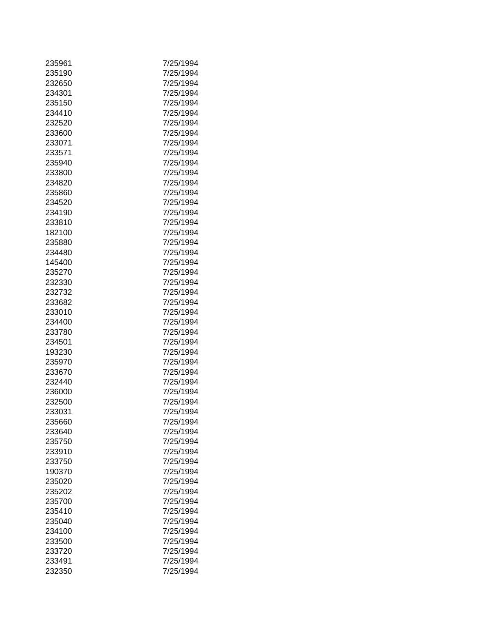| 235961           | 7/25/1994              |
|------------------|------------------------|
| 235190           | 7/25/1994              |
| 232650           | 7/25/1994              |
| 234301           | 7/25/1994              |
| 235150           | 7/25/1994              |
| 234410           | 7/25/1994              |
| 232520           | 7/25/1994              |
|                  |                        |
| 233600           | 7/25/1994              |
| 233071           | 7/25/1994              |
| 233571           | 7/25/1994              |
| 235940           | 7/25/1994              |
| 233800           | 7/25/1994              |
| 234820           | 7/25/1994              |
| 235860           | 7/25/1994              |
| 234520           | 7/25/1994              |
| 234190           | 7/25/1994              |
| 233810           | 7/25/1994              |
| 182100           | 7/25/1994              |
| 235880           | 7/25/1994              |
| 234480           | 7/25/1994              |
| 145400           | 7/25/1994              |
| 235270           | 7/25/1994              |
| 232330           | 7/25/1994              |
| 232732           | 7/25/1994              |
| 233682           | 7/25/1994              |
| 233010           | 7/25/1994              |
| 234400           | 7/25/1994              |
| 233780           | 7/25/1994              |
| 234501           | 7/25/1994              |
| 193230           | 7/25/1994              |
| 235970           | 7/25/1994              |
| 233670           | 7/25/1994              |
| 232440           | 7/25/1994              |
| 236000           | 7/25/1994              |
| 232500           | 7/25/1994              |
| 233031           | 7/25/1994              |
|                  |                        |
| 235660<br>233640 | 7/25/1994<br>7/25/1994 |
|                  |                        |
| 235750           | 7/25/1994              |
| 233910           | 7/25/1994              |
| 233750           | 7/25/1994              |
| 190370           | 7/25/1994              |
| 235020           | 7/25/1994              |
| 235202           | 7/25/1994              |
| 235700           | 7/25/1994              |
| 235410           | 7/25/1994              |
| 235040           | 7/25/1994              |
| 234100           | 7/25/1994              |
| 233500           | 7/25/1994              |
| 233720           | 7/25/1994              |
| 233491           | 7/25/1994              |
| 232350           | 7/25/1994              |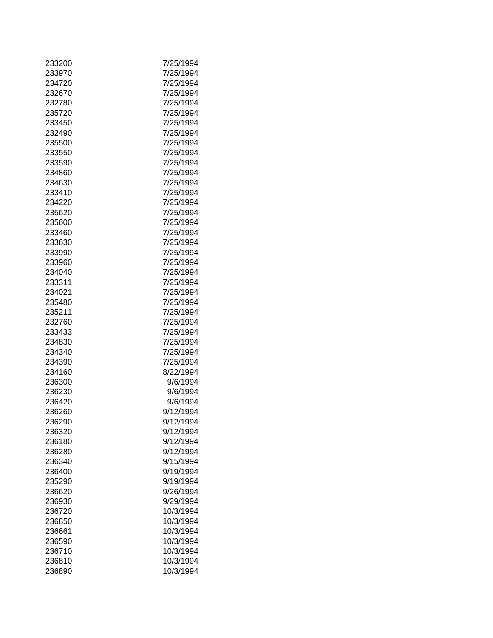| 233200 | 7/25/1994 |
|--------|-----------|
| 233970 | 7/25/1994 |
| 234720 | 7/25/1994 |
| 232670 | 7/25/1994 |
| 232780 | 7/25/1994 |
| 235720 | 7/25/1994 |
| 233450 | 7/25/1994 |
| 232490 | 7/25/1994 |
| 235500 | 7/25/1994 |
| 233550 | 7/25/1994 |
| 233590 | 7/25/1994 |
| 234860 | 7/25/1994 |
| 234630 | 7/25/1994 |
| 233410 | 7/25/1994 |
| 234220 | 7/25/1994 |
| 235620 | 7/25/1994 |
| 235600 | 7/25/1994 |
|        | 7/25/1994 |
| 233460 |           |
| 233630 | 7/25/1994 |
| 233990 | 7/25/1994 |
| 233960 | 7/25/1994 |
| 234040 | 7/25/1994 |
| 233311 | 7/25/1994 |
| 234021 | 7/25/1994 |
| 235480 | 7/25/1994 |
| 235211 | 7/25/1994 |
| 232760 | 7/25/1994 |
| 233433 | 7/25/1994 |
| 234830 | 7/25/1994 |
| 234340 | 7/25/1994 |
| 234390 | 7/25/1994 |
| 234160 | 8/22/1994 |
| 236300 | 9/6/1994  |
| 236230 | 9/6/1994  |
| 236420 | 9/6/1994  |
| 236260 | 9/12/1994 |
| 236290 | 9/12/1994 |
| 236320 | 9/12/1994 |
| 236180 | 9/12/1994 |
| 236280 | 9/12/1994 |
| 236340 | 9/15/1994 |
| 236400 | 9/19/1994 |
| 235290 | 9/19/1994 |
| 236620 | 9/26/1994 |
| 236930 | 9/29/1994 |
| 236720 | 10/3/1994 |
| 236850 | 10/3/1994 |
| 236661 | 10/3/1994 |
|        | 10/3/1994 |
| 236590 |           |
| 236710 | 10/3/1994 |
| 236810 | 10/3/1994 |
| 236890 | 10/3/1994 |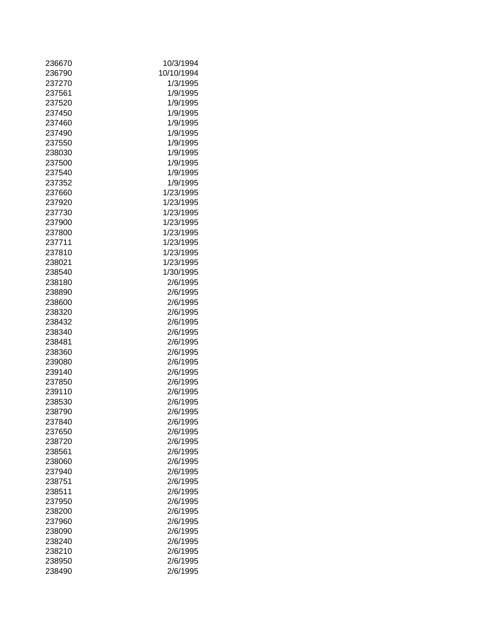| 236670 | 10/3/1994  |
|--------|------------|
| 236790 | 10/10/1994 |
| 237270 | 1/3/1995   |
| 237561 | 1/9/1995   |
| 237520 | 1/9/1995   |
| 237450 | 1/9/1995   |
| 237460 | 1/9/1995   |
| 237490 | 1/9/1995   |
| 237550 | 1/9/1995   |
| 238030 | 1/9/1995   |
| 237500 | 1/9/1995   |
| 237540 | 1/9/1995   |
| 237352 | 1/9/1995   |
| 237660 | 1/23/1995  |
| 237920 | 1/23/1995  |
| 237730 | 1/23/1995  |
| 237900 | 1/23/1995  |
|        |            |
| 237800 | 1/23/1995  |
| 237711 | 1/23/1995  |
| 237810 | 1/23/1995  |
| 238021 | 1/23/1995  |
| 238540 | 1/30/1995  |
| 238180 | 2/6/1995   |
| 238890 | 2/6/1995   |
| 238600 | 2/6/1995   |
| 238320 | 2/6/1995   |
| 238432 | 2/6/1995   |
| 238340 | 2/6/1995   |
| 238481 | 2/6/1995   |
| 238360 | 2/6/1995   |
| 239080 | 2/6/1995   |
| 239140 | 2/6/1995   |
| 237850 | 2/6/1995   |
| 239110 | 2/6/1995   |
| 238530 | 2/6/1995   |
| 238790 | 2/6/1995   |
| 237840 | 2/6/1995   |
| 237650 | 2/6/1995   |
| 238720 | 2/6/1995   |
| 238561 | 2/6/1995   |
| 238060 | 2/6/1995   |
| 237940 | 2/6/1995   |
| 238751 | 2/6/1995   |
| 238511 | 2/6/1995   |
| 237950 | 2/6/1995   |
| 238200 | 2/6/1995   |
| 237960 | 2/6/1995   |
| 238090 | 2/6/1995   |
| 238240 | 2/6/1995   |
| 238210 | 2/6/1995   |
|        |            |
| 238950 | 2/6/1995   |
| 238490 | 2/6/1995   |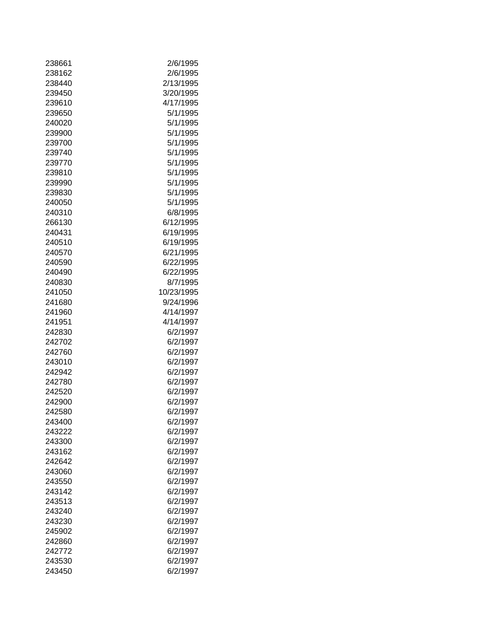| 238661 | 2/6/1995   |
|--------|------------|
| 238162 | 2/6/1995   |
| 238440 | 2/13/1995  |
| 239450 | 3/20/1995  |
| 239610 | 4/17/1995  |
| 239650 | 5/1/1995   |
| 240020 | 5/1/1995   |
| 239900 | 5/1/1995   |
| 239700 | 5/1/1995   |
| 239740 | 5/1/1995   |
| 239770 | 5/1/1995   |
| 239810 | 5/1/1995   |
| 239990 | 5/1/1995   |
| 239830 | 5/1/1995   |
| 240050 | 5/1/1995   |
| 240310 | 6/8/1995   |
| 266130 | 6/12/1995  |
|        |            |
| 240431 | 6/19/1995  |
| 240510 | 6/19/1995  |
| 240570 | 6/21/1995  |
| 240590 | 6/22/1995  |
| 240490 | 6/22/1995  |
| 240830 | 8/7/1995   |
| 241050 | 10/23/1995 |
| 241680 | 9/24/1996  |
| 241960 | 4/14/1997  |
| 241951 | 4/14/1997  |
| 242830 | 6/2/1997   |
| 242702 | 6/2/1997   |
| 242760 | 6/2/1997   |
| 243010 | 6/2/1997   |
| 242942 | 6/2/1997   |
| 242780 | 6/2/1997   |
| 242520 | 6/2/1997   |
| 242900 | 6/2/1997   |
| 242580 | 6/2/1997   |
| 243400 | 6/2/1997   |
| 243222 | 6/2/1997   |
| 243300 | 6/2/1997   |
| 243162 | 6/2/1997   |
| 242642 | 6/2/1997   |
| 243060 | 6/2/1997   |
| 243550 | 6/2/1997   |
| 243142 | 6/2/1997   |
| 243513 | 6/2/1997   |
| 243240 | 6/2/1997   |
|        |            |
| 243230 | 6/2/1997   |
| 245902 | 6/2/1997   |
| 242860 | 6/2/1997   |
| 242772 | 6/2/1997   |
| 243530 | 6/2/1997   |
| 243450 | 6/2/1997   |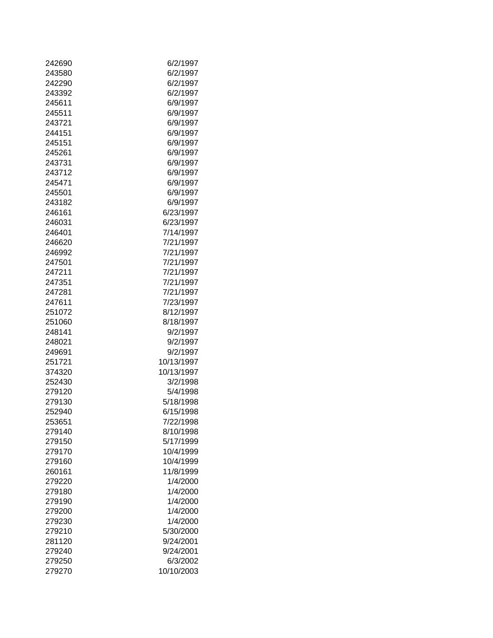| 242690 | 6/2/1997   |
|--------|------------|
| 243580 | 6/2/1997   |
| 242290 | 6/2/1997   |
| 243392 | 6/2/1997   |
| 245611 | 6/9/1997   |
| 245511 | 6/9/1997   |
| 243721 | 6/9/1997   |
| 244151 | 6/9/1997   |
| 245151 | 6/9/1997   |
| 245261 | 6/9/1997   |
| 243731 | 6/9/1997   |
| 243712 | 6/9/1997   |
| 245471 | 6/9/1997   |
|        |            |
| 245501 | 6/9/1997   |
| 243182 | 6/9/1997   |
| 246161 | 6/23/1997  |
| 246031 | 6/23/1997  |
| 246401 | 7/14/1997  |
| 246620 | 7/21/1997  |
| 246992 | 7/21/1997  |
| 247501 | 7/21/1997  |
| 247211 | 7/21/1997  |
| 247351 | 7/21/1997  |
| 247281 | 7/21/1997  |
| 247611 | 7/23/1997  |
| 251072 | 8/12/1997  |
| 251060 | 8/18/1997  |
| 248141 | 9/2/1997   |
| 248021 | 9/2/1997   |
| 249691 | 9/2/1997   |
| 251721 | 10/13/1997 |
| 374320 | 10/13/1997 |
| 252430 | 3/2/1998   |
| 279120 | 5/4/1998   |
| 279130 | 5/18/1998  |
| 252940 | 6/15/1998  |
| 253651 | 7/22/1998  |
| 279140 | 8/10/1998  |
| 279150 | 5/17/1999  |
| 279170 | 10/4/1999  |
| 279160 | 10/4/1999  |
| 260161 | 11/8/1999  |
| 279220 | 1/4/2000   |
| 279180 | 1/4/2000   |
| 279190 | 1/4/2000   |
| 279200 | 1/4/2000   |
| 279230 | 1/4/2000   |
| 279210 | 5/30/2000  |
| 281120 | 9/24/2001  |
| 279240 | 9/24/2001  |
| 279250 | 6/3/2002   |
| 279270 | 10/10/2003 |
|        |            |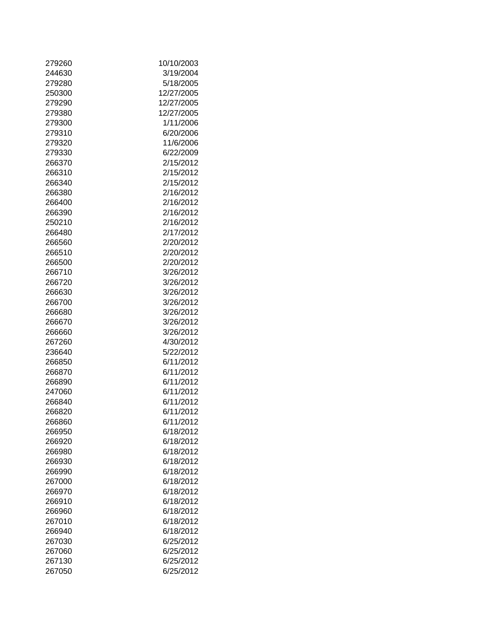| 279260 | 10/10/2003 |
|--------|------------|
| 244630 | 3/19/2004  |
| 279280 | 5/18/2005  |
| 250300 | 12/27/2005 |
| 279290 | 12/27/2005 |
| 279380 | 12/27/2005 |
| 279300 | 1/11/2006  |
| 279310 | 6/20/2006  |
| 279320 | 11/6/2006  |
| 279330 | 6/22/2009  |
| 266370 | 2/15/2012  |
| 266310 | 2/15/2012  |
| 266340 | 2/15/2012  |
| 266380 | 2/16/2012  |
| 266400 | 2/16/2012  |
| 266390 | 2/16/2012  |
|        |            |
| 250210 | 2/16/2012  |
| 266480 | 2/17/2012  |
| 266560 | 2/20/2012  |
| 266510 | 2/20/2012  |
| 266500 | 2/20/2012  |
| 266710 | 3/26/2012  |
| 266720 | 3/26/2012  |
| 266630 | 3/26/2012  |
| 266700 | 3/26/2012  |
| 266680 | 3/26/2012  |
| 266670 | 3/26/2012  |
| 266660 | 3/26/2012  |
| 267260 | 4/30/2012  |
| 236640 | 5/22/2012  |
| 266850 | 6/11/2012  |
| 266870 | 6/11/2012  |
| 266890 | 6/11/2012  |
| 247060 | 6/11/2012  |
| 266840 | 6/11/2012  |
| 266820 | 6/11/2012  |
| 266860 | 6/11/2012  |
| 266950 | 6/18/2012  |
| 266920 | 6/18/2012  |
| 266980 | 6/18/2012  |
| 266930 | 6/18/2012  |
| 266990 | 6/18/2012  |
| 267000 | 6/18/2012  |
| 266970 | 6/18/2012  |
| 266910 | 6/18/2012  |
| 266960 | 6/18/2012  |
| 267010 | 6/18/2012  |
| 266940 | 6/18/2012  |
| 267030 | 6/25/2012  |
| 267060 | 6/25/2012  |
| 267130 | 6/25/2012  |
| 267050 | 6/25/2012  |
|        |            |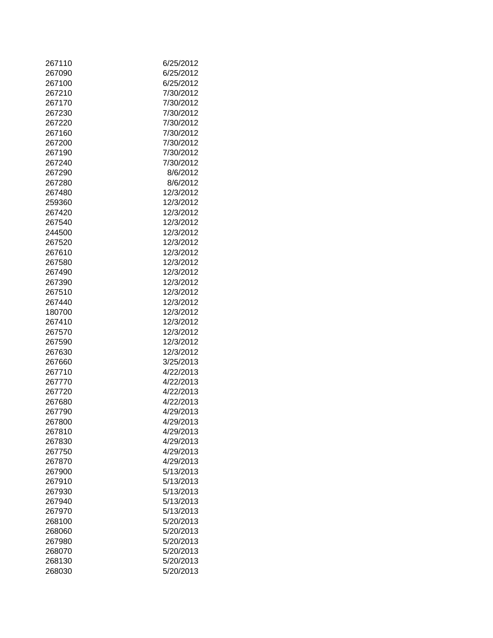| 267110 | 6/25/2012 |
|--------|-----------|
| 267090 | 6/25/2012 |
| 267100 | 6/25/2012 |
| 267210 | 7/30/2012 |
| 267170 | 7/30/2012 |
| 267230 | 7/30/2012 |
| 267220 | 7/30/2012 |
| 267160 | 7/30/2012 |
| 267200 | 7/30/2012 |
| 267190 | 7/30/2012 |
| 267240 | 7/30/2012 |
| 267290 | 8/6/2012  |
| 267280 | 8/6/2012  |
| 267480 | 12/3/2012 |
|        |           |
| 259360 | 12/3/2012 |
| 267420 | 12/3/2012 |
| 267540 | 12/3/2012 |
| 244500 | 12/3/2012 |
| 267520 | 12/3/2012 |
| 267610 | 12/3/2012 |
| 267580 | 12/3/2012 |
| 267490 | 12/3/2012 |
| 267390 | 12/3/2012 |
| 267510 | 12/3/2012 |
| 267440 | 12/3/2012 |
| 180700 | 12/3/2012 |
| 267410 | 12/3/2012 |
| 267570 | 12/3/2012 |
| 267590 | 12/3/2012 |
| 267630 | 12/3/2012 |
| 267660 | 3/25/2013 |
| 267710 | 4/22/2013 |
| 267770 | 4/22/2013 |
|        |           |
| 267720 | 4/22/2013 |
| 267680 | 4/22/2013 |
| 267790 | 4/29/2013 |
| 267800 | 4/29/2013 |
| 267810 | 4/29/2013 |
| 267830 | 4/29/2013 |
| 267750 | 4/29/2013 |
| 267870 | 4/29/2013 |
| 267900 | 5/13/2013 |
| 267910 | 5/13/2013 |
| 267930 | 5/13/2013 |
| 267940 | 5/13/2013 |
| 267970 | 5/13/2013 |
| 268100 | 5/20/2013 |
| 268060 | 5/20/2013 |
| 267980 | 5/20/2013 |
| 268070 | 5/20/2013 |
| 268130 | 5/20/2013 |
|        |           |
| 268030 | 5/20/2013 |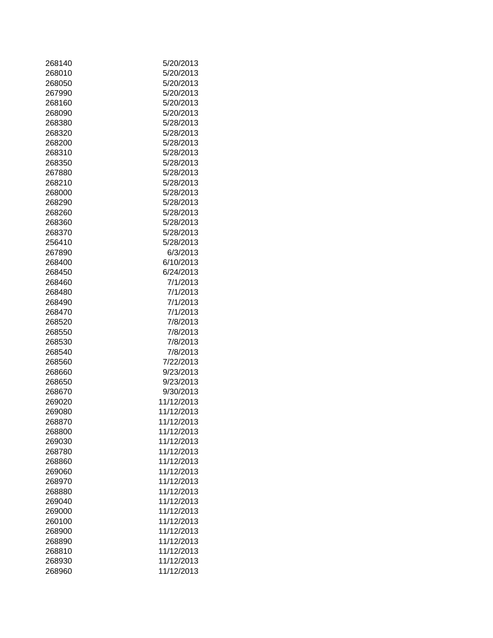| 268140 | 5/20/2013  |
|--------|------------|
| 268010 | 5/20/2013  |
| 268050 | 5/20/2013  |
| 267990 | 5/20/2013  |
| 268160 | 5/20/2013  |
| 268090 | 5/20/2013  |
| 268380 | 5/28/2013  |
| 268320 | 5/28/2013  |
| 268200 | 5/28/2013  |
| 268310 | 5/28/2013  |
| 268350 | 5/28/2013  |
| 267880 | 5/28/2013  |
| 268210 | 5/28/2013  |
| 268000 | 5/28/2013  |
| 268290 | 5/28/2013  |
| 268260 | 5/28/2013  |
| 268360 |            |
|        | 5/28/2013  |
| 268370 | 5/28/2013  |
| 256410 | 5/28/2013  |
| 267890 | 6/3/2013   |
| 268400 | 6/10/2013  |
| 268450 | 6/24/2013  |
| 268460 | 7/1/2013   |
| 268480 | 7/1/2013   |
| 268490 | 7/1/2013   |
| 268470 | 7/1/2013   |
| 268520 | 7/8/2013   |
| 268550 | 7/8/2013   |
| 268530 | 7/8/2013   |
| 268540 | 7/8/2013   |
| 268560 | 7/22/2013  |
| 268660 | 9/23/2013  |
| 268650 | 9/23/2013  |
| 268670 | 9/30/2013  |
| 269020 | 11/12/2013 |
| 269080 | 11/12/2013 |
| 268870 | 11/12/2013 |
| 268800 | 11/12/2013 |
| 269030 | 11/12/2013 |
| 268780 | 11/12/2013 |
| 268860 | 11/12/2013 |
| 269060 | 11/12/2013 |
| 268970 | 11/12/2013 |
| 268880 | 11/12/2013 |
| 269040 | 11/12/2013 |
| 269000 | 11/12/2013 |
| 260100 | 11/12/2013 |
| 268900 | 11/12/2013 |
| 268890 | 11/12/2013 |
| 268810 | 11/12/2013 |
| 268930 | 11/12/2013 |
| 268960 | 11/12/2013 |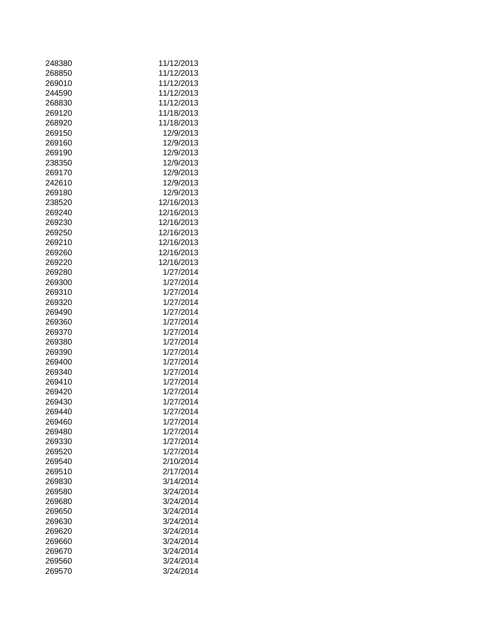| 248380 | 11/12/2013 |
|--------|------------|
| 268850 | 11/12/2013 |
| 269010 | 11/12/2013 |
| 244590 | 11/12/2013 |
| 268830 | 11/12/2013 |
| 269120 | 11/18/2013 |
| 268920 | 11/18/2013 |
| 269150 | 12/9/2013  |
| 269160 | 12/9/2013  |
| 269190 | 12/9/2013  |
| 238350 | 12/9/2013  |
| 269170 | 12/9/2013  |
| 242610 | 12/9/2013  |
| 269180 | 12/9/2013  |
| 238520 | 12/16/2013 |
|        | 12/16/2013 |
| 269240 |            |
| 269230 | 12/16/2013 |
| 269250 | 12/16/2013 |
| 269210 | 12/16/2013 |
| 269260 | 12/16/2013 |
| 269220 | 12/16/2013 |
| 269280 | 1/27/2014  |
| 269300 | 1/27/2014  |
| 269310 | 1/27/2014  |
| 269320 | 1/27/2014  |
| 269490 | 1/27/2014  |
| 269360 | 1/27/2014  |
| 269370 | 1/27/2014  |
| 269380 | 1/27/2014  |
| 269390 | 1/27/2014  |
| 269400 | 1/27/2014  |
| 269340 | 1/27/2014  |
| 269410 | 1/27/2014  |
| 269420 | 1/27/2014  |
| 269430 | 1/27/2014  |
| 269440 | 1/27/2014  |
| 269460 | 1/27/2014  |
| 269480 | 1/27/2014  |
| 269330 | 1/27/2014  |
| 269520 | 1/27/2014  |
| 269540 | 2/10/2014  |
| 269510 | 2/17/2014  |
| 269830 | 3/14/2014  |
| 269580 | 3/24/2014  |
| 269680 | 3/24/2014  |
| 269650 | 3/24/2014  |
| 269630 | 3/24/2014  |
| 269620 | 3/24/2014  |
| 269660 | 3/24/2014  |
| 269670 | 3/24/2014  |
| 269560 | 3/24/2014  |
| 269570 | 3/24/2014  |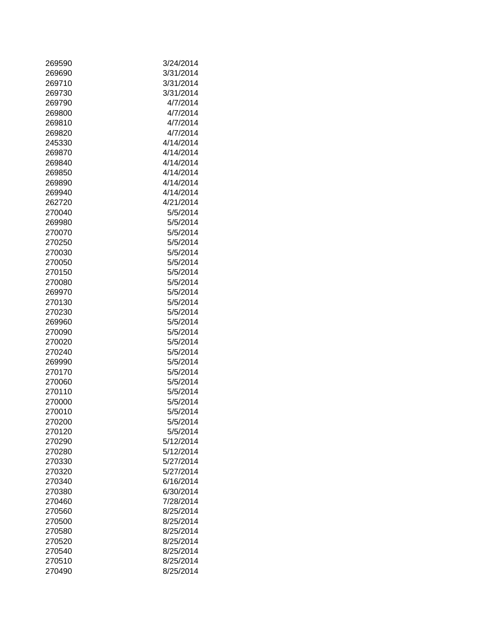| 269590 | 3/24/2014 |
|--------|-----------|
| 269690 | 3/31/2014 |
| 269710 | 3/31/2014 |
| 269730 | 3/31/2014 |
| 269790 | 4/7/2014  |
| 269800 | 4/7/2014  |
| 269810 | 4/7/2014  |
| 269820 | 4/7/2014  |
| 245330 | 4/14/2014 |
| 269870 | 4/14/2014 |
| 269840 | 4/14/2014 |
| 269850 | 4/14/2014 |
| 269890 | 4/14/2014 |
| 269940 | 4/14/2014 |
| 262720 | 4/21/2014 |
| 270040 | 5/5/2014  |
| 269980 | 5/5/2014  |
|        | 5/5/2014  |
| 270070 |           |
| 270250 | 5/5/2014  |
| 270030 | 5/5/2014  |
| 270050 | 5/5/2014  |
| 270150 | 5/5/2014  |
| 270080 | 5/5/2014  |
| 269970 | 5/5/2014  |
| 270130 | 5/5/2014  |
| 270230 | 5/5/2014  |
| 269960 | 5/5/2014  |
| 270090 | 5/5/2014  |
| 270020 | 5/5/2014  |
| 270240 | 5/5/2014  |
| 269990 | 5/5/2014  |
| 270170 | 5/5/2014  |
| 270060 | 5/5/2014  |
| 270110 | 5/5/2014  |
| 270000 | 5/5/2014  |
| 270010 | 5/5/2014  |
| 270200 | 5/5/2014  |
| 270120 | 5/5/2014  |
| 270290 | 5/12/2014 |
| 270280 | 5/12/2014 |
| 270330 | 5/27/2014 |
| 270320 | 5/27/2014 |
| 270340 | 6/16/2014 |
| 270380 | 6/30/2014 |
| 270460 | 7/28/2014 |
| 270560 | 8/25/2014 |
| 270500 | 8/25/2014 |
| 270580 | 8/25/2014 |
| 270520 | 8/25/2014 |
| 270540 | 8/25/2014 |
|        |           |
| 270510 | 8/25/2014 |
| 270490 | 8/25/2014 |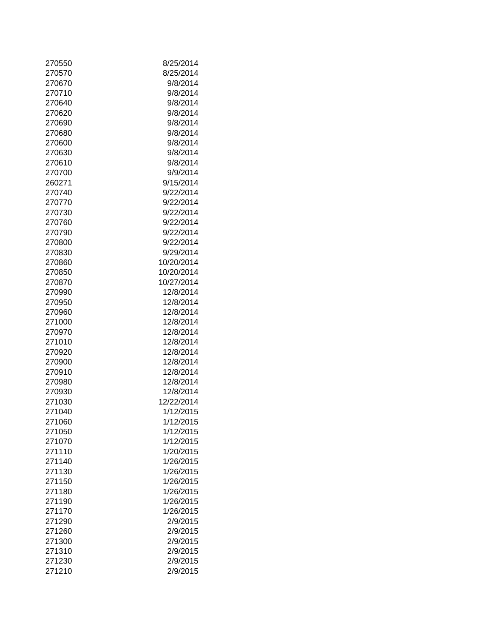| 270550 | 8/25/2014  |
|--------|------------|
| 270570 | 8/25/2014  |
| 270670 | 9/8/2014   |
| 270710 | 9/8/2014   |
| 270640 | 9/8/2014   |
| 270620 | 9/8/2014   |
| 270690 | 9/8/2014   |
| 270680 | 9/8/2014   |
| 270600 | 9/8/2014   |
| 270630 | 9/8/2014   |
| 270610 | 9/8/2014   |
| 270700 | 9/9/2014   |
| 260271 | 9/15/2014  |
| 270740 | 9/22/2014  |
|        |            |
| 270770 | 9/22/2014  |
| 270730 | 9/22/2014  |
| 270760 | 9/22/2014  |
| 270790 | 9/22/2014  |
| 270800 | 9/22/2014  |
| 270830 | 9/29/2014  |
| 270860 | 10/20/2014 |
| 270850 | 10/20/2014 |
| 270870 | 10/27/2014 |
| 270990 | 12/8/2014  |
| 270950 | 12/8/2014  |
| 270960 | 12/8/2014  |
| 271000 | 12/8/2014  |
| 270970 | 12/8/2014  |
| 271010 | 12/8/2014  |
| 270920 | 12/8/2014  |
| 270900 | 12/8/2014  |
| 270910 | 12/8/2014  |
| 270980 | 12/8/2014  |
| 270930 | 12/8/2014  |
| 271030 | 12/22/2014 |
| 271040 | 1/12/2015  |
| 271060 | 1/12/2015  |
| 271050 | 1/12/2015  |
| 271070 | 1/12/2015  |
| 271110 | 1/20/2015  |
| 271140 | 1/26/2015  |
| 271130 | 1/26/2015  |
| 271150 | 1/26/2015  |
| 271180 | 1/26/2015  |
| 271190 | 1/26/2015  |
| 271170 | 1/26/2015  |
| 271290 | 2/9/2015   |
| 271260 | 2/9/2015   |
| 271300 | 2/9/2015   |
| 271310 | 2/9/2015   |
| 271230 | 2/9/2015   |
| 271210 | 2/9/2015   |
|        |            |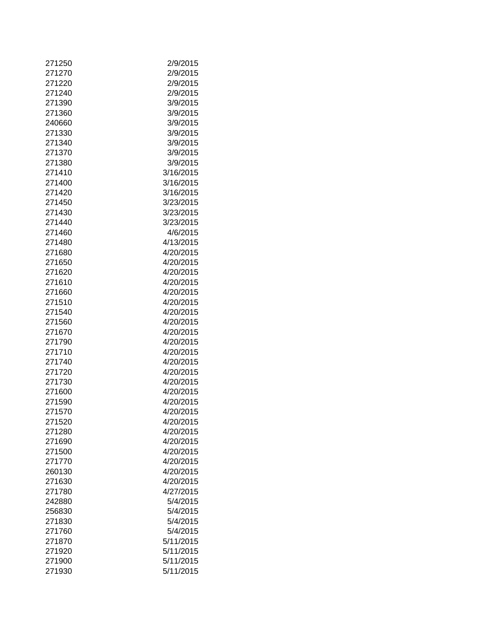| 271250 | 2/9/2015  |
|--------|-----------|
| 271270 | 2/9/2015  |
| 271220 | 2/9/2015  |
| 271240 | 2/9/2015  |
| 271390 | 3/9/2015  |
| 271360 | 3/9/2015  |
| 240660 | 3/9/2015  |
| 271330 | 3/9/2015  |
| 271340 | 3/9/2015  |
| 271370 | 3/9/2015  |
| 271380 | 3/9/2015  |
| 271410 | 3/16/2015 |
| 271400 | 3/16/2015 |
| 271420 | 3/16/2015 |
| 271450 | 3/23/2015 |
| 271430 | 3/23/2015 |
| 271440 | 3/23/2015 |
|        |           |
| 271460 | 4/6/2015  |
| 271480 | 4/13/2015 |
| 271680 | 4/20/2015 |
| 271650 | 4/20/2015 |
| 271620 | 4/20/2015 |
| 271610 | 4/20/2015 |
| 271660 | 4/20/2015 |
| 271510 | 4/20/2015 |
| 271540 | 4/20/2015 |
| 271560 | 4/20/2015 |
| 271670 | 4/20/2015 |
| 271790 | 4/20/2015 |
| 271710 | 4/20/2015 |
| 271740 | 4/20/2015 |
| 271720 | 4/20/2015 |
| 271730 | 4/20/2015 |
| 271600 | 4/20/2015 |
| 271590 | 4/20/2015 |
| 271570 | 4/20/2015 |
| 271520 | 4/20/2015 |
| 271280 | 4/20/2015 |
| 271690 | 4/20/2015 |
| 271500 | 4/20/2015 |
| 271770 | 4/20/2015 |
| 260130 | 4/20/2015 |
| 271630 | 4/20/2015 |
| 271780 | 4/27/2015 |
|        |           |
| 242880 | 5/4/2015  |
| 256830 | 5/4/2015  |
| 271830 | 5/4/2015  |
| 271760 | 5/4/2015  |
| 271870 | 5/11/2015 |
| 271920 | 5/11/2015 |
| 271900 | 5/11/2015 |
| 271930 | 5/11/2015 |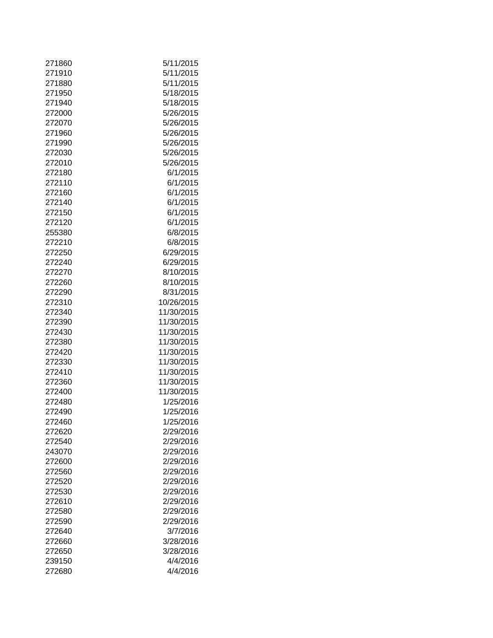| 271860 | 5/11/2015  |
|--------|------------|
| 271910 | 5/11/2015  |
| 271880 | 5/11/2015  |
| 271950 | 5/18/2015  |
| 271940 | 5/18/2015  |
| 272000 | 5/26/2015  |
| 272070 | 5/26/2015  |
| 271960 | 5/26/2015  |
| 271990 | 5/26/2015  |
| 272030 | 5/26/2015  |
| 272010 | 5/26/2015  |
| 272180 | 6/1/2015   |
| 272110 | 6/1/2015   |
| 272160 | 6/1/2015   |
| 272140 | 6/1/2015   |
| 272150 | 6/1/2015   |
| 272120 | 6/1/2015   |
| 255380 | 6/8/2015   |
| 272210 | 6/8/2015   |
| 272250 | 6/29/2015  |
| 272240 | 6/29/2015  |
| 272270 | 8/10/2015  |
| 272260 | 8/10/2015  |
| 272290 | 8/31/2015  |
| 272310 | 10/26/2015 |
| 272340 | 11/30/2015 |
| 272390 | 11/30/2015 |
| 272430 | 11/30/2015 |
| 272380 | 11/30/2015 |
|        |            |
| 272420 | 11/30/2015 |
| 272330 | 11/30/2015 |
| 272410 | 11/30/2015 |
| 272360 | 11/30/2015 |
| 272400 | 11/30/2015 |
| 272480 | 1/25/2016  |
| 272490 | 1/25/2016  |
| 272460 | 1/25/2016  |
| 272620 | 2/29/2016  |
| 272540 | 2/29/2016  |
| 243070 | 2/29/2016  |
| 272600 | 2/29/2016  |
| 272560 | 2/29/2016  |
| 272520 | 2/29/2016  |
| 272530 | 2/29/2016  |
| 272610 | 2/29/2016  |
| 272580 | 2/29/2016  |
| 272590 | 2/29/2016  |
| 272640 | 3/7/2016   |
| 272660 | 3/28/2016  |
| 272650 | 3/28/2016  |
| 239150 | 4/4/2016   |
| 272680 | 4/4/2016   |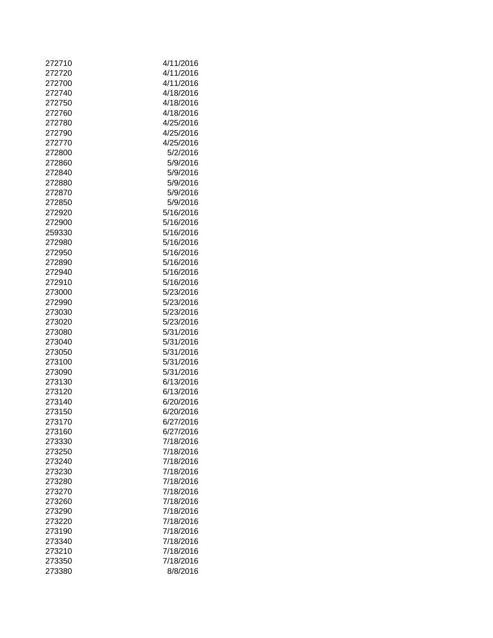| 272710 | 4/11/2016 |
|--------|-----------|
| 272720 | 4/11/2016 |
| 272700 | 4/11/2016 |
| 272740 | 4/18/2016 |
| 272750 | 4/18/2016 |
| 272760 | 4/18/2016 |
| 272780 | 4/25/2016 |
| 272790 | 4/25/2016 |
| 272770 | 4/25/2016 |
| 272800 | 5/2/2016  |
| 272860 | 5/9/2016  |
| 272840 | 5/9/2016  |
| 272880 | 5/9/2016  |
| 272870 | 5/9/2016  |
|        |           |
| 272850 | 5/9/2016  |
| 272920 | 5/16/2016 |
| 272900 | 5/16/2016 |
| 259330 | 5/16/2016 |
| 272980 | 5/16/2016 |
| 272950 | 5/16/2016 |
| 272890 | 5/16/2016 |
| 272940 | 5/16/2016 |
| 272910 | 5/16/2016 |
| 273000 | 5/23/2016 |
| 272990 | 5/23/2016 |
| 273030 | 5/23/2016 |
| 273020 | 5/23/2016 |
| 273080 | 5/31/2016 |
| 273040 | 5/31/2016 |
| 273050 | 5/31/2016 |
| 273100 | 5/31/2016 |
| 273090 | 5/31/2016 |
| 273130 | 6/13/2016 |
| 273120 | 6/13/2016 |
| 273140 | 6/20/2016 |
| 273150 | 6/20/2016 |
| 273170 | 6/27/2016 |
| 273160 | 6/27/2016 |
| 273330 | 7/18/2016 |
| 273250 | 7/18/2016 |
| 273240 | 7/18/2016 |
| 273230 | 7/18/2016 |
| 273280 | 7/18/2016 |
| 273270 | 7/18/2016 |
| 273260 | 7/18/2016 |
| 273290 | 7/18/2016 |
| 273220 | 7/18/2016 |
| 273190 | 7/18/2016 |
| 273340 | 7/18/2016 |
| 273210 | 7/18/2016 |
| 273350 | 7/18/2016 |
| 273380 | 8/8/2016  |
|        |           |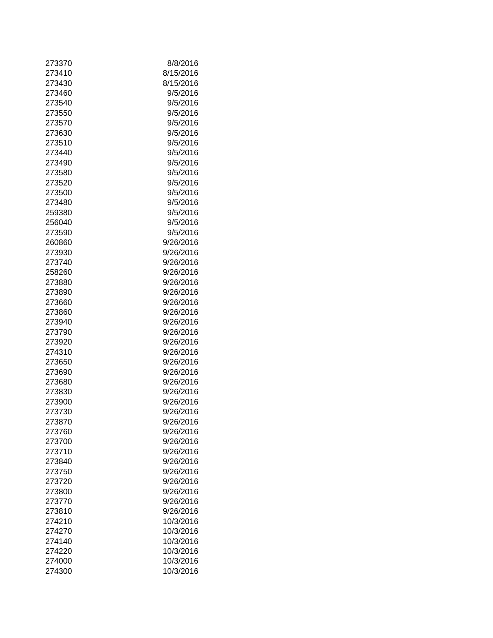| 273370 | 8/8/2016  |
|--------|-----------|
| 273410 | 8/15/2016 |
| 273430 | 8/15/2016 |
| 273460 | 9/5/2016  |
| 273540 | 9/5/2016  |
| 273550 | 9/5/2016  |
| 273570 | 9/5/2016  |
| 273630 | 9/5/2016  |
|        |           |
| 273510 | 9/5/2016  |
| 273440 | 9/5/2016  |
| 273490 | 9/5/2016  |
| 273580 | 9/5/2016  |
| 273520 | 9/5/2016  |
| 273500 | 9/5/2016  |
| 273480 | 9/5/2016  |
| 259380 | 9/5/2016  |
| 256040 | 9/5/2016  |
| 273590 | 9/5/2016  |
| 260860 | 9/26/2016 |
| 273930 | 9/26/2016 |
| 273740 | 9/26/2016 |
| 258260 | 9/26/2016 |
| 273880 | 9/26/2016 |
|        |           |
| 273890 | 9/26/2016 |
| 273660 | 9/26/2016 |
| 273860 | 9/26/2016 |
| 273940 | 9/26/2016 |
| 273790 | 9/26/2016 |
| 273920 | 9/26/2016 |
| 274310 | 9/26/2016 |
| 273650 | 9/26/2016 |
| 273690 | 9/26/2016 |
| 273680 | 9/26/2016 |
| 273830 | 9/26/2016 |
| 273900 | 9/26/2016 |
| 273730 | 9/26/2016 |
| 273870 | 9/26/2016 |
| 273760 | 9/26/2016 |
| 273700 | 9/26/2016 |
| 273710 |           |
|        | 9/26/2016 |
| 273840 | 9/26/2016 |
| 273750 | 9/26/2016 |
| 273720 | 9/26/2016 |
| 273800 | 9/26/2016 |
| 273770 | 9/26/2016 |
| 273810 | 9/26/2016 |
| 274210 | 10/3/2016 |
| 274270 | 10/3/2016 |
| 274140 | 10/3/2016 |
| 274220 | 10/3/2016 |
| 274000 | 10/3/2016 |
| 274300 | 10/3/2016 |
|        |           |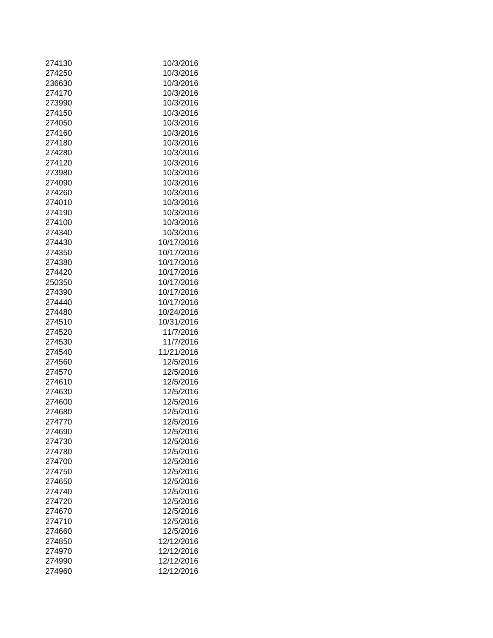| 274130 | 10/3/2016  |
|--------|------------|
| 274250 | 10/3/2016  |
| 236630 | 10/3/2016  |
| 274170 | 10/3/2016  |
| 273990 | 10/3/2016  |
| 274150 | 10/3/2016  |
| 274050 | 10/3/2016  |
| 274160 | 10/3/2016  |
| 274180 | 10/3/2016  |
| 274280 | 10/3/2016  |
|        |            |
| 274120 | 10/3/2016  |
| 273980 | 10/3/2016  |
| 274090 | 10/3/2016  |
| 274260 | 10/3/2016  |
| 274010 | 10/3/2016  |
| 274190 | 10/3/2016  |
| 274100 | 10/3/2016  |
| 274340 | 10/3/2016  |
| 274430 | 10/17/2016 |
| 274350 | 10/17/2016 |
| 274380 | 10/17/2016 |
| 274420 | 10/17/2016 |
| 250350 | 10/17/2016 |
| 274390 | 10/17/2016 |
| 274440 | 10/17/2016 |
| 274480 | 10/24/2016 |
|        |            |
| 274510 | 10/31/2016 |
| 274520 | 11/7/2016  |
| 274530 | 11/7/2016  |
| 274540 | 11/21/2016 |
| 274560 | 12/5/2016  |
| 274570 | 12/5/2016  |
| 274610 | 12/5/2016  |
| 274630 | 12/5/2016  |
| 274600 | 12/5/2016  |
| 274680 | 12/5/2016  |
| 274770 | 12/5/2016  |
| 274690 | 12/5/2016  |
| 274730 | 12/5/2016  |
| 274780 | 12/5/2016  |
| 274700 | 12/5/2016  |
| 274750 | 12/5/2016  |
|        | 12/5/2016  |
| 274650 |            |
| 274740 | 12/5/2016  |
| 274720 | 12/5/2016  |
| 274670 | 12/5/2016  |
| 274710 | 12/5/2016  |
| 274660 | 12/5/2016  |
| 274850 | 12/12/2016 |
| 274970 | 12/12/2016 |
| 274990 | 12/12/2016 |
| 274960 | 12/12/2016 |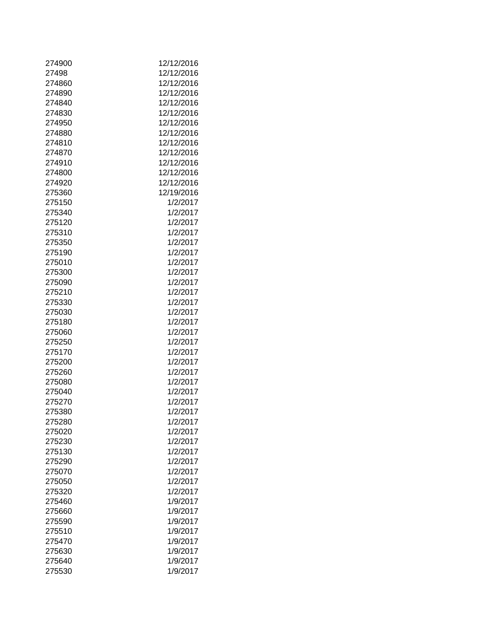| 274900 | 12/12/2016 |
|--------|------------|
| 27498  | 12/12/2016 |
| 274860 | 12/12/2016 |
| 274890 | 12/12/2016 |
| 274840 | 12/12/2016 |
| 274830 | 12/12/2016 |
|        |            |
| 274950 | 12/12/2016 |
| 274880 | 12/12/2016 |
| 274810 | 12/12/2016 |
| 274870 | 12/12/2016 |
| 274910 | 12/12/2016 |
| 274800 | 12/12/2016 |
| 274920 | 12/12/2016 |
| 275360 | 12/19/2016 |
| 275150 | 1/2/2017   |
| 275340 | 1/2/2017   |
| 275120 | 1/2/2017   |
| 275310 | 1/2/2017   |
| 275350 | 1/2/2017   |
| 275190 | 1/2/2017   |
| 275010 | 1/2/2017   |
| 275300 | 1/2/2017   |
|        |            |
| 275090 | 1/2/2017   |
| 275210 | 1/2/2017   |
| 275330 | 1/2/2017   |
| 275030 | 1/2/2017   |
| 275180 | 1/2/2017   |
| 275060 | 1/2/2017   |
| 275250 | 1/2/2017   |
| 275170 | 1/2/2017   |
| 275200 | 1/2/2017   |
| 275260 | 1/2/2017   |
| 275080 | 1/2/2017   |
| 275040 | 1/2/2017   |
| 275270 | 1/2/2017   |
| 275380 | 1/2/2017   |
| 275280 | 1/2/2017   |
| 275020 | 1/2/2017   |
| 275230 | 1/2/2017   |
| 275130 | 1/2/2017   |
|        |            |
| 275290 | 1/2/2017   |
| 275070 | 1/2/2017   |
| 275050 | 1/2/2017   |
| 275320 | 1/2/2017   |
| 275460 | 1/9/2017   |
| 275660 | 1/9/2017   |
| 275590 | 1/9/2017   |
| 275510 | 1/9/2017   |
| 275470 | 1/9/2017   |
| 275630 | 1/9/2017   |
| 275640 | 1/9/2017   |
| 275530 | 1/9/2017   |
|        |            |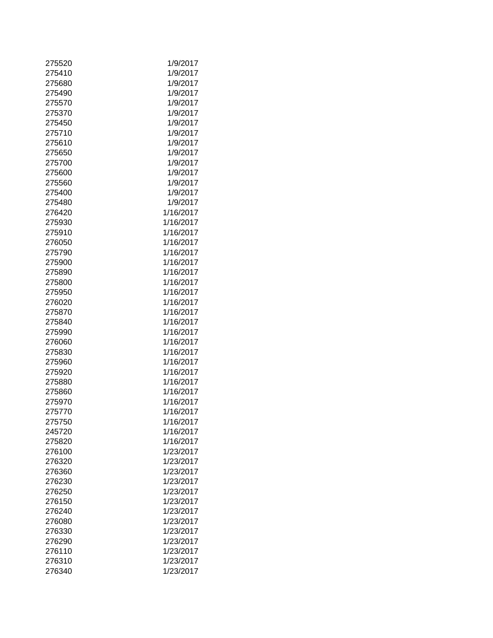| 275520           | 1/9/2017  |
|------------------|-----------|
| 275410           | 1/9/2017  |
| 275680           | 1/9/2017  |
| 275490           | 1/9/2017  |
| 275570           | 1/9/2017  |
| 275370           | 1/9/2017  |
| 275450           | 1/9/2017  |
| 275710           | 1/9/2017  |
| 275610           | 1/9/2017  |
| 275650           | 1/9/2017  |
| 275700           | 1/9/2017  |
| 275600           | 1/9/2017  |
| 275560           | 1/9/2017  |
|                  |           |
| 275400<br>275480 | 1/9/2017  |
|                  | 1/9/2017  |
| 276420           | 1/16/2017 |
| 275930           | 1/16/2017 |
| 275910           | 1/16/2017 |
| 276050           | 1/16/2017 |
| 275790           | 1/16/2017 |
| 275900           | 1/16/2017 |
| 275890           | 1/16/2017 |
| 275800           | 1/16/2017 |
| 275950           | 1/16/2017 |
| 276020           | 1/16/2017 |
| 275870           | 1/16/2017 |
| 275840           | 1/16/2017 |
| 275990           | 1/16/2017 |
| 276060           | 1/16/2017 |
| 275830           | 1/16/2017 |
| 275960           | 1/16/2017 |
| 275920           | 1/16/2017 |
| 275880           | 1/16/2017 |
| 275860           | 1/16/2017 |
| 275970           | 1/16/2017 |
| 275770           | 1/16/2017 |
| 275750           | 1/16/2017 |
| 245720           | 1/16/2017 |
| 275820           | 1/16/2017 |
| 276100           | 1/23/2017 |
| 276320           | 1/23/2017 |
| 276360           | 1/23/2017 |
| 276230           | 1/23/2017 |
| 276250           | 1/23/2017 |
| 276150           | 1/23/2017 |
| 276240           | 1/23/2017 |
| 276080           | 1/23/2017 |
| 276330           | 1/23/2017 |
| 276290           | 1/23/2017 |
| 276110           | 1/23/2017 |
| 276310           | 1/23/2017 |
| 276340           | 1/23/2017 |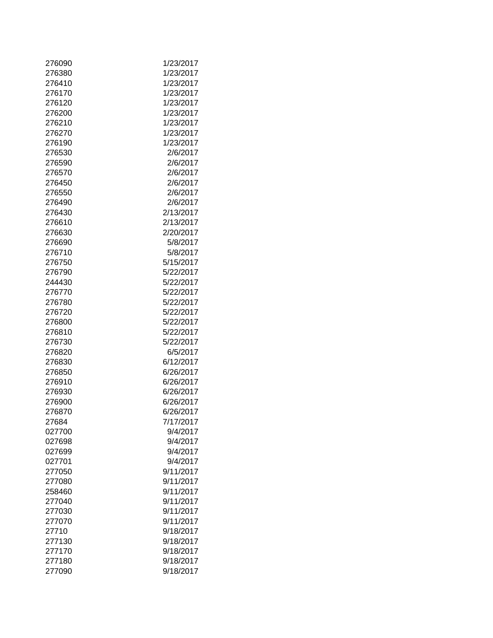| 276090 | 1/23/2017 |
|--------|-----------|
| 276380 | 1/23/2017 |
| 276410 | 1/23/2017 |
| 276170 | 1/23/2017 |
| 276120 | 1/23/2017 |
|        |           |
| 276200 | 1/23/2017 |
| 276210 | 1/23/2017 |
| 276270 | 1/23/2017 |
| 276190 | 1/23/2017 |
| 276530 | 2/6/2017  |
| 276590 | 2/6/2017  |
| 276570 | 2/6/2017  |
| 276450 | 2/6/2017  |
| 276550 | 2/6/2017  |
| 276490 | 2/6/2017  |
| 276430 | 2/13/2017 |
| 276610 | 2/13/2017 |
| 276630 | 2/20/2017 |
| 276690 | 5/8/2017  |
| 276710 | 5/8/2017  |
| 276750 | 5/15/2017 |
|        |           |
| 276790 | 5/22/2017 |
| 244430 | 5/22/2017 |
| 276770 | 5/22/2017 |
| 276780 | 5/22/2017 |
| 276720 | 5/22/2017 |
| 276800 | 5/22/2017 |
| 276810 | 5/22/2017 |
| 276730 | 5/22/2017 |
| 276820 | 6/5/2017  |
| 276830 | 6/12/2017 |
| 276850 | 6/26/2017 |
| 276910 | 6/26/2017 |
| 276930 | 6/26/2017 |
| 276900 | 6/26/2017 |
| 276870 | 6/26/2017 |
| 27684  | 7/17/2017 |
| 027700 | 9/4/2017  |
|        |           |
| 027698 | 9/4/2017  |
| 027699 | 9/4/2017  |
| 027701 | 9/4/2017  |
| 277050 | 9/11/2017 |
| 277080 | 9/11/2017 |
| 258460 | 9/11/2017 |
| 277040 | 9/11/2017 |
| 277030 | 9/11/2017 |
| 277070 | 9/11/2017 |
| 27710  | 9/18/2017 |
| 277130 | 9/18/2017 |
| 277170 | 9/18/2017 |
| 277180 | 9/18/2017 |
| 277090 | 9/18/2017 |
|        |           |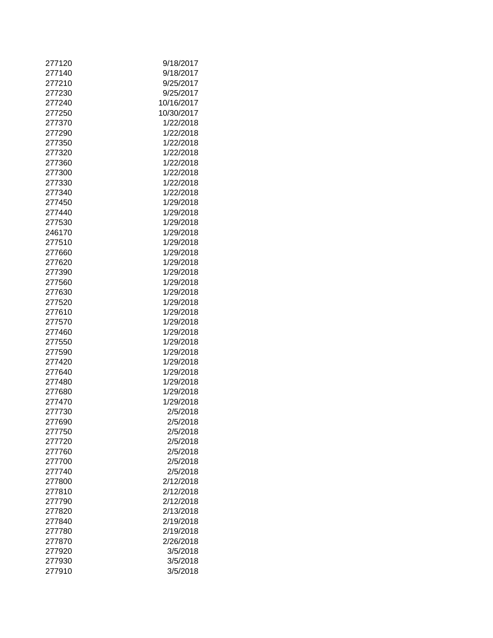| 277120 | 9/18/2017  |
|--------|------------|
| 277140 | 9/18/2017  |
| 277210 | 9/25/2017  |
|        |            |
| 277230 | 9/25/2017  |
| 277240 | 10/16/2017 |
| 277250 | 10/30/2017 |
| 277370 | 1/22/2018  |
| 277290 | 1/22/2018  |
| 277350 | 1/22/2018  |
| 277320 | 1/22/2018  |
| 277360 | 1/22/2018  |
| 277300 | 1/22/2018  |
| 277330 | 1/22/2018  |
| 277340 | 1/22/2018  |
|        |            |
| 277450 | 1/29/2018  |
| 277440 | 1/29/2018  |
| 277530 | 1/29/2018  |
| 246170 | 1/29/2018  |
| 277510 | 1/29/2018  |
| 277660 | 1/29/2018  |
| 277620 | 1/29/2018  |
| 277390 | 1/29/2018  |
| 277560 | 1/29/2018  |
| 277630 | 1/29/2018  |
| 277520 | 1/29/2018  |
| 277610 | 1/29/2018  |
| 277570 | 1/29/2018  |
| 277460 | 1/29/2018  |
|        |            |
| 277550 | 1/29/2018  |
| 277590 | 1/29/2018  |
| 277420 | 1/29/2018  |
| 277640 | 1/29/2018  |
| 277480 | 1/29/2018  |
| 277680 | 1/29/2018  |
| 277470 | 1/29/2018  |
| 277730 | 2/5/2018   |
| 277690 | 2/5/2018   |
| 277750 | 2/5/2018   |
| 277720 | 2/5/2018   |
| 277760 | 2/5/2018   |
| 277700 | 2/5/2018   |
| 277740 | 2/5/2018   |
| 277800 | 2/12/2018  |
| 277810 | 2/12/2018  |
|        |            |
| 277790 | 2/12/2018  |
| 277820 | 2/13/2018  |
| 277840 | 2/19/2018  |
| 277780 | 2/19/2018  |
| 277870 | 2/26/2018  |
| 277920 | 3/5/2018   |
| 277930 | 3/5/2018   |
| 277910 | 3/5/2018   |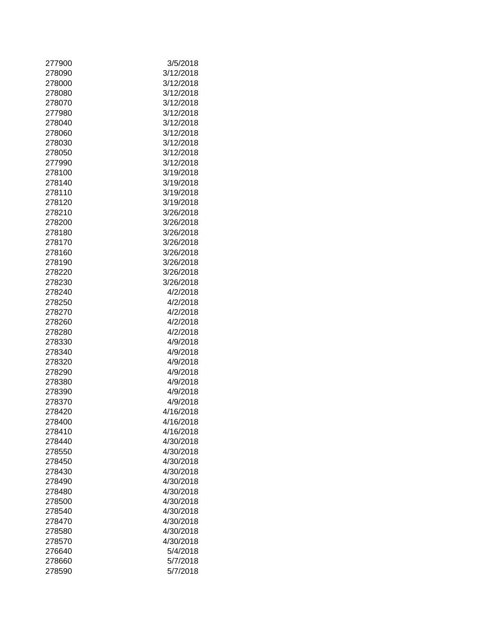| 277900 | 3/5/2018  |
|--------|-----------|
| 278090 | 3/12/2018 |
| 278000 | 3/12/2018 |
| 278080 | 3/12/2018 |
| 278070 | 3/12/2018 |
| 277980 | 3/12/2018 |
| 278040 | 3/12/2018 |
| 278060 | 3/12/2018 |
| 278030 | 3/12/2018 |
| 278050 | 3/12/2018 |
| 277990 | 3/12/2018 |
| 278100 | 3/19/2018 |
| 278140 | 3/19/2018 |
| 278110 | 3/19/2018 |
|        |           |
| 278120 | 3/19/2018 |
| 278210 | 3/26/2018 |
| 278200 | 3/26/2018 |
| 278180 | 3/26/2018 |
| 278170 | 3/26/2018 |
| 278160 | 3/26/2018 |
| 278190 | 3/26/2018 |
| 278220 | 3/26/2018 |
| 278230 | 3/26/2018 |
| 278240 | 4/2/2018  |
| 278250 | 4/2/2018  |
| 278270 | 4/2/2018  |
| 278260 | 4/2/2018  |
| 278280 | 4/2/2018  |
| 278330 | 4/9/2018  |
| 278340 | 4/9/2018  |
| 278320 | 4/9/2018  |
| 278290 | 4/9/2018  |
| 278380 | 4/9/2018  |
| 278390 | 4/9/2018  |
| 278370 | 4/9/2018  |
| 278420 | 4/16/2018 |
| 278400 | 4/16/2018 |
| 278410 | 4/16/2018 |
| 278440 | 4/30/2018 |
| 278550 | 4/30/2018 |
| 278450 | 4/30/2018 |
| 278430 | 4/30/2018 |
| 278490 | 4/30/2018 |
| 278480 | 4/30/2018 |
| 278500 | 4/30/2018 |
| 278540 | 4/30/2018 |
| 278470 | 4/30/2018 |
| 278580 | 4/30/2018 |
| 278570 | 4/30/2018 |
| 276640 | 5/4/2018  |
| 278660 | 5/7/2018  |
|        | 5/7/2018  |
| 278590 |           |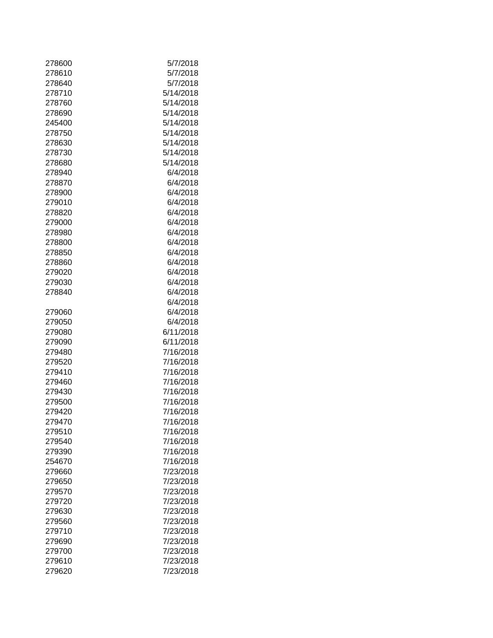| 278600 | 5/7/2018  |
|--------|-----------|
| 278610 | 5/7/2018  |
| 278640 | 5/7/2018  |
| 278710 | 5/14/2018 |
| 278760 | 5/14/2018 |
| 278690 | 5/14/2018 |
| 245400 | 5/14/2018 |
| 278750 | 5/14/2018 |
| 278630 | 5/14/2018 |
| 278730 | 5/14/2018 |
| 278680 | 5/14/2018 |
|        |           |
| 278940 | 6/4/2018  |
| 278870 | 6/4/2018  |
| 278900 | 6/4/2018  |
| 279010 | 6/4/2018  |
| 278820 | 6/4/2018  |
| 279000 | 6/4/2018  |
| 278980 | 6/4/2018  |
| 278800 | 6/4/2018  |
| 278850 | 6/4/2018  |
| 278860 | 6/4/2018  |
| 279020 | 6/4/2018  |
| 279030 | 6/4/2018  |
| 278840 | 6/4/2018  |
|        | 6/4/2018  |
| 279060 | 6/4/2018  |
| 279050 | 6/4/2018  |
|        | 6/11/2018 |
| 279080 |           |
| 279090 | 6/11/2018 |
| 279480 | 7/16/2018 |
| 279520 | 7/16/2018 |
| 279410 | 7/16/2018 |
| 279460 | 7/16/2018 |
| 279430 | 7/16/2018 |
| 279500 | 7/16/2018 |
| 279420 | 7/16/2018 |
| 279470 | 7/16/2018 |
| 279510 | 7/16/2018 |
| 279540 | 7/16/2018 |
| 279390 | 7/16/2018 |
| 254670 | 7/16/2018 |
| 279660 | 7/23/2018 |
| 279650 | 7/23/2018 |
| 279570 | 7/23/2018 |
| 279720 | 7/23/2018 |
| 279630 | 7/23/2018 |
| 279560 | 7/23/2018 |
| 279710 | 7/23/2018 |
|        |           |
| 279690 | 7/23/2018 |
| 279700 | 7/23/2018 |
| 279610 | 7/23/2018 |
| 279620 | 7/23/2018 |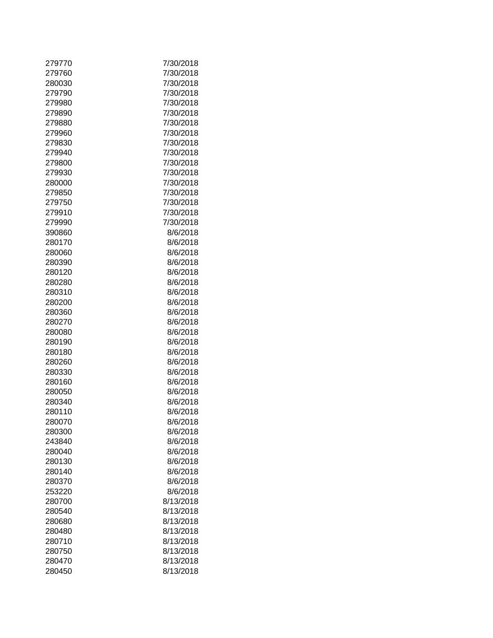| 279770 | 7/30/2018 |
|--------|-----------|
| 279760 | 7/30/2018 |
| 280030 | 7/30/2018 |
| 279790 | 7/30/2018 |
| 279980 | 7/30/2018 |
| 279890 | 7/30/2018 |
| 279880 | 7/30/2018 |
| 279960 | 7/30/2018 |
|        |           |
| 279830 | 7/30/2018 |
| 279940 | 7/30/2018 |
| 279800 | 7/30/2018 |
| 279930 | 7/30/2018 |
| 280000 | 7/30/2018 |
| 279850 | 7/30/2018 |
| 279750 | 7/30/2018 |
| 279910 | 7/30/2018 |
| 279990 | 7/30/2018 |
| 390860 | 8/6/2018  |
| 280170 | 8/6/2018  |
| 280060 | 8/6/2018  |
| 280390 | 8/6/2018  |
| 280120 | 8/6/2018  |
| 280280 | 8/6/2018  |
| 280310 | 8/6/2018  |
| 280200 | 8/6/2018  |
| 280360 | 8/6/2018  |
| 280270 | 8/6/2018  |
| 280080 | 8/6/2018  |
| 280190 | 8/6/2018  |
| 280180 | 8/6/2018  |
| 280260 | 8/6/2018  |
| 280330 | 8/6/2018  |
| 280160 | 8/6/2018  |
| 280050 | 8/6/2018  |
| 280340 | 8/6/2018  |
|        |           |
| 280110 | 8/6/2018  |
| 280070 | 8/6/2018  |
| 280300 | 8/6/2018  |
| 243840 | 8/6/2018  |
| 280040 | 8/6/2018  |
| 280130 | 8/6/2018  |
| 280140 | 8/6/2018  |
| 280370 | 8/6/2018  |
| 253220 | 8/6/2018  |
| 280700 | 8/13/2018 |
| 280540 | 8/13/2018 |
| 280680 | 8/13/2018 |
| 280480 | 8/13/2018 |
| 280710 | 8/13/2018 |
| 280750 | 8/13/2018 |
| 280470 | 8/13/2018 |
| 280450 | 8/13/2018 |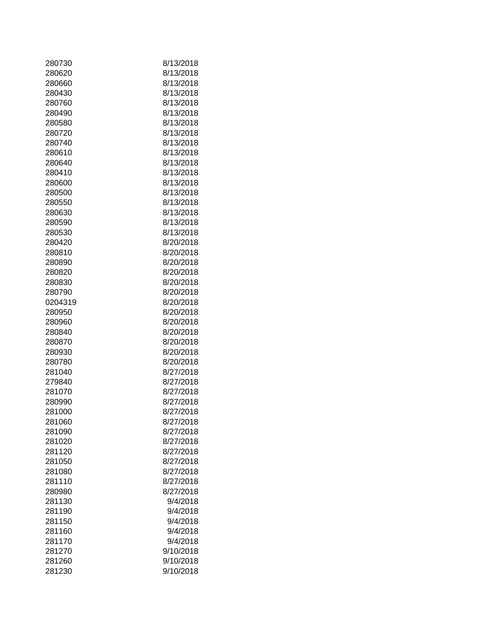| 280730  | 8/13/2018 |
|---------|-----------|
| 280620  | 8/13/2018 |
| 280660  | 8/13/2018 |
| 280430  | 8/13/2018 |
| 280760  | 8/13/2018 |
| 280490  | 8/13/2018 |
| 280580  | 8/13/2018 |
|         |           |
| 280720  | 8/13/2018 |
| 280740  | 8/13/2018 |
| 280610  | 8/13/2018 |
| 280640  | 8/13/2018 |
| 280410  | 8/13/2018 |
| 280600  | 8/13/2018 |
| 280500  | 8/13/2018 |
| 280550  | 8/13/2018 |
| 280630  | 8/13/2018 |
| 280590  | 8/13/2018 |
| 280530  | 8/13/2018 |
| 280420  | 8/20/2018 |
| 280810  | 8/20/2018 |
| 280890  | 8/20/2018 |
| 280820  | 8/20/2018 |
| 280830  | 8/20/2018 |
| 280790  | 8/20/2018 |
| 0204319 | 8/20/2018 |
| 280950  | 8/20/2018 |
| 280960  | 8/20/2018 |
| 280840  | 8/20/2018 |
| 280870  | 8/20/2018 |
| 280930  | 8/20/2018 |
| 280780  | 8/20/2018 |
| 281040  | 8/27/2018 |
| 279840  | 8/27/2018 |
| 281070  | 8/27/2018 |
| 280990  | 8/27/2018 |
| 281000  | 8/27/2018 |
| 281060  | 8/27/2018 |
| 281090  | 8/27/2018 |
| 281020  | 8/27/2018 |
| 281120  | 8/27/2018 |
| 281050  | 8/27/2018 |
| 281080  | 8/27/2018 |
| 281110  | 8/27/2018 |
| 280980  | 8/27/2018 |
| 281130  | 9/4/2018  |
| 281190  | 9/4/2018  |
| 281150  | 9/4/2018  |
| 281160  | 9/4/2018  |
| 281170  | 9/4/2018  |
| 281270  | 9/10/2018 |
| 281260  | 9/10/2018 |
| 281230  | 9/10/2018 |
|         |           |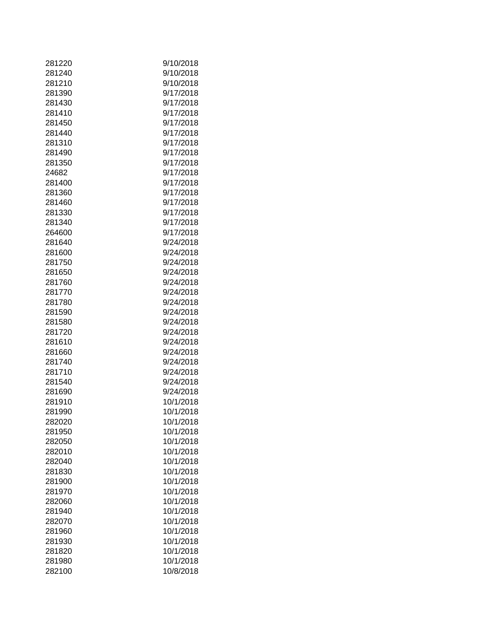| 281220 | 9/10/2018 |
|--------|-----------|
| 281240 | 9/10/2018 |
| 281210 | 9/10/2018 |
| 281390 | 9/17/2018 |
| 281430 | 9/17/2018 |
| 281410 | 9/17/2018 |
| 281450 | 9/17/2018 |
| 281440 | 9/17/2018 |
| 281310 | 9/17/2018 |
| 281490 | 9/17/2018 |
| 281350 | 9/17/2018 |
| 24682  | 9/17/2018 |
| 281400 | 9/17/2018 |
| 281360 | 9/17/2018 |
| 281460 | 9/17/2018 |
| 281330 | 9/17/2018 |
| 281340 | 9/17/2018 |
|        |           |
| 264600 | 9/17/2018 |
| 281640 | 9/24/2018 |
| 281600 | 9/24/2018 |
| 281750 | 9/24/2018 |
| 281650 | 9/24/2018 |
| 281760 | 9/24/2018 |
| 281770 | 9/24/2018 |
| 281780 | 9/24/2018 |
| 281590 | 9/24/2018 |
| 281580 | 9/24/2018 |
| 281720 | 9/24/2018 |
| 281610 | 9/24/2018 |
| 281660 | 9/24/2018 |
| 281740 | 9/24/2018 |
| 281710 | 9/24/2018 |
| 281540 | 9/24/2018 |
| 281690 | 9/24/2018 |
| 281910 | 10/1/2018 |
| 281990 | 10/1/2018 |
| 282020 | 10/1/2018 |
| 281950 | 10/1/2018 |
| 282050 | 10/1/2018 |
| 282010 | 10/1/2018 |
| 282040 | 10/1/2018 |
| 281830 | 10/1/2018 |
| 281900 | 10/1/2018 |
| 281970 | 10/1/2018 |
| 282060 | 10/1/2018 |
| 281940 | 10/1/2018 |
|        |           |
| 282070 | 10/1/2018 |
| 281960 | 10/1/2018 |
| 281930 | 10/1/2018 |
| 281820 | 10/1/2018 |
| 281980 | 10/1/2018 |
| 282100 | 10/8/2018 |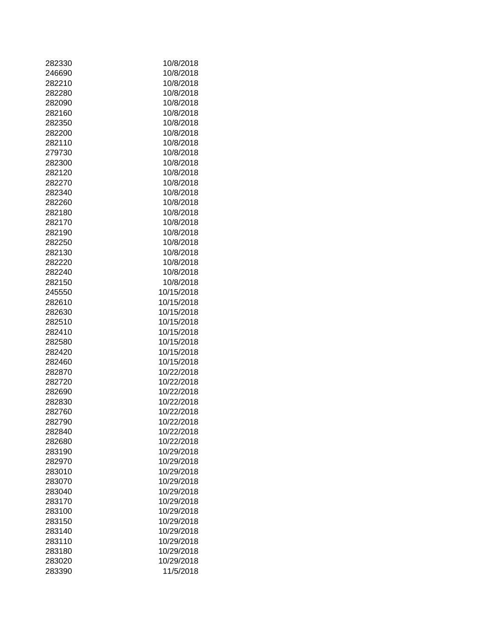| 282330           | 10/8/2018                |
|------------------|--------------------------|
| 246690           | 10/8/2018                |
| 282210           | 10/8/2018                |
| 282280           | 10/8/2018                |
| 282090           | 10/8/2018                |
| 282160           | 10/8/2018                |
| 282350           | 10/8/2018                |
|                  |                          |
| 282200           | 10/8/2018                |
| 282110           | 10/8/2018                |
| 279730           | 10/8/2018                |
| 282300           | 10/8/2018                |
| 282120           | 10/8/2018                |
| 282270           | 10/8/2018                |
| 282340           | 10/8/2018                |
| 282260           | 10/8/2018                |
| 282180           | 10/8/2018                |
| 282170           | 10/8/2018                |
| 282190           | 10/8/2018                |
| 282250           | 10/8/2018                |
| 282130           | 10/8/2018                |
| 282220           | 10/8/2018                |
| 282240           | 10/8/2018                |
| 282150           | 10/8/2018                |
| 245550           | 10/15/2018               |
| 282610           | 10/15/2018               |
| 282630           | 10/15/2018               |
| 282510           | 10/15/2018               |
| 282410           | 10/15/2018               |
| 282580           | 10/15/2018               |
| 282420           | 10/15/2018               |
| 282460           | 10/15/2018               |
| 282870           | 10/22/2018               |
| 282720           | 10/22/2018               |
| 282690           | 10/22/2018               |
| 282830           | 10/22/2018               |
| 282760           | 10/22/2018               |
| 282790           | 10/22/2018               |
| 282840           | 10/22/2018               |
| 282680           | 10/22/2018               |
| 283190           | 10/29/2018               |
| 282970           | 10/29/2018               |
| 283010           | 10/29/2018               |
| 283070           | 10/29/2018               |
|                  | 10/29/2018               |
| 283040           |                          |
| 283170<br>283100 | 10/29/2018<br>10/29/2018 |
|                  |                          |
| 283150           | 10/29/2018               |
| 283140           | 10/29/2018               |
| 283110           | 10/29/2018               |
| 283180           | 10/29/2018               |
| 283020           | 10/29/2018               |
| 283390           | 11/5/2018                |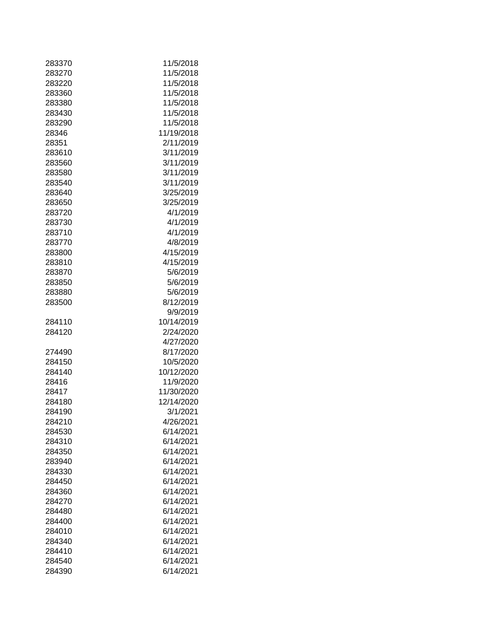| 283370 | 11/5/2018  |
|--------|------------|
| 283270 | 11/5/2018  |
|        |            |
| 283220 | 11/5/2018  |
| 283360 | 11/5/2018  |
| 283380 | 11/5/2018  |
| 283430 | 11/5/2018  |
| 283290 | 11/5/2018  |
| 28346  | 11/19/2018 |
| 28351  | 2/11/2019  |
| 283610 | 3/11/2019  |
| 283560 | 3/11/2019  |
| 283580 | 3/11/2019  |
|        |            |
| 283540 | 3/11/2019  |
| 283640 | 3/25/2019  |
| 283650 | 3/25/2019  |
| 283720 | 4/1/2019   |
| 283730 | 4/1/2019   |
| 283710 | 4/1/2019   |
| 283770 | 4/8/2019   |
| 283800 | 4/15/2019  |
| 283810 | 4/15/2019  |
| 283870 | 5/6/2019   |
| 283850 | 5/6/2019   |
| 283880 | 5/6/2019   |
| 283500 | 8/12/2019  |
|        |            |
|        | 9/9/2019   |
| 284110 | 10/14/2019 |
| 284120 | 2/24/2020  |
|        | 4/27/2020  |
| 274490 | 8/17/2020  |
| 284150 | 10/5/2020  |
| 284140 | 10/12/2020 |
| 28416  | 11/9/2020  |
| 28417  | 11/30/2020 |
| 284180 | 12/14/2020 |
| 284190 | 3/1/2021   |
| 284210 | 4/26/2021  |
| 284530 | 6/14/2021  |
| 284310 | 6/14/2021  |
| 284350 | 6/14/2021  |
| 283940 | 6/14/2021  |
|        |            |
| 284330 | 6/14/2021  |
| 284450 | 6/14/2021  |
| 284360 | 6/14/2021  |
| 284270 | 6/14/2021  |
| 284480 | 6/14/2021  |
| 284400 | 6/14/2021  |
| 284010 | 6/14/2021  |
| 284340 | 6/14/2021  |
| 284410 | 6/14/2021  |
| 284540 | 6/14/2021  |
| 284390 | 6/14/2021  |
|        |            |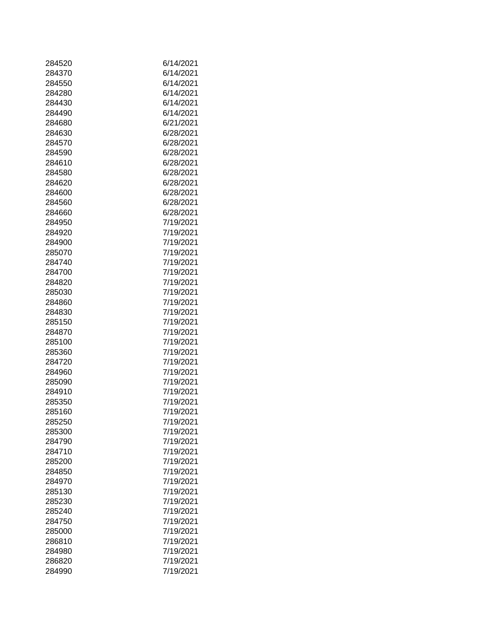| 284520 | 6/14/2021 |
|--------|-----------|
| 284370 | 6/14/2021 |
| 284550 | 6/14/2021 |
| 284280 | 6/14/2021 |
| 284430 | 6/14/2021 |
| 284490 | 6/14/2021 |
| 284680 | 6/21/2021 |
| 284630 | 6/28/2021 |
| 284570 | 6/28/2021 |
| 284590 |           |
|        | 6/28/2021 |
| 284610 | 6/28/2021 |
| 284580 | 6/28/2021 |
| 284620 | 6/28/2021 |
| 284600 | 6/28/2021 |
| 284560 | 6/28/2021 |
| 284660 | 6/28/2021 |
| 284950 | 7/19/2021 |
| 284920 | 7/19/2021 |
| 284900 | 7/19/2021 |
| 285070 | 7/19/2021 |
| 284740 | 7/19/2021 |
| 284700 | 7/19/2021 |
| 284820 | 7/19/2021 |
| 285030 | 7/19/2021 |
| 284860 | 7/19/2021 |
| 284830 | 7/19/2021 |
| 285150 | 7/19/2021 |
| 284870 | 7/19/2021 |
| 285100 | 7/19/2021 |
| 285360 | 7/19/2021 |
| 284720 | 7/19/2021 |
| 284960 | 7/19/2021 |
| 285090 | 7/19/2021 |
| 284910 | 7/19/2021 |
| 285350 | 7/19/2021 |
| 285160 | 7/19/2021 |
| 285250 | 7/19/2021 |
| 285300 | 7/19/2021 |
| 284790 | 7/19/2021 |
| 284710 | 7/19/2021 |
| 285200 | 7/19/2021 |
| 284850 | 7/19/2021 |
| 284970 | 7/19/2021 |
| 285130 | 7/19/2021 |
| 285230 | 7/19/2021 |
| 285240 | 7/19/2021 |
| 284750 | 7/19/2021 |
| 285000 | 7/19/2021 |
| 286810 | 7/19/2021 |
| 284980 | 7/19/2021 |
|        |           |
| 286820 | 7/19/2021 |
| 284990 | 7/19/2021 |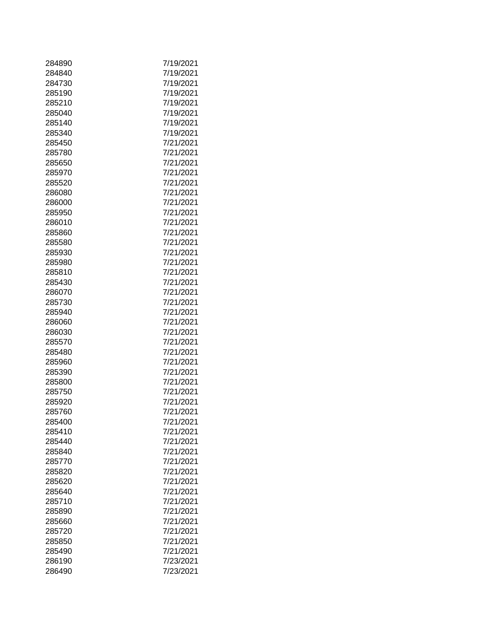| 284890 | 7/19/2021 |
|--------|-----------|
|        | 7/19/2021 |
| 284840 |           |
| 284730 | 7/19/2021 |
| 285190 | 7/19/2021 |
| 285210 | 7/19/2021 |
| 285040 | 7/19/2021 |
| 285140 | 7/19/2021 |
| 285340 | 7/19/2021 |
| 285450 | 7/21/2021 |
| 285780 | 7/21/2021 |
| 285650 | 7/21/2021 |
| 285970 | 7/21/2021 |
| 285520 | 7/21/2021 |
| 286080 | 7/21/2021 |
| 286000 | 7/21/2021 |
| 285950 | 7/21/2021 |
| 286010 | 7/21/2021 |
| 285860 | 7/21/2021 |
| 285580 | 7/21/2021 |
| 285930 | 7/21/2021 |
| 285980 | 7/21/2021 |
| 285810 | 7/21/2021 |
| 285430 | 7/21/2021 |
| 286070 | 7/21/2021 |
| 285730 | 7/21/2021 |
| 285940 | 7/21/2021 |
|        | 7/21/2021 |
| 286060 |           |
| 286030 | 7/21/2021 |
| 285570 | 7/21/2021 |
| 285480 | 7/21/2021 |
| 285960 | 7/21/2021 |
| 285390 | 7/21/2021 |
| 285800 | 7/21/2021 |
| 285750 | 7/21/2021 |
| 285920 | 7/21/2021 |
| 285760 | 7/21/2021 |
| 285400 | 7/21/2021 |
| 285410 | 7/21/2021 |
| 285440 | 7/21/2021 |
| 285840 | 7/21/2021 |
| 285770 | 7/21/2021 |
| 285820 | 7/21/2021 |
| 285620 | 7/21/2021 |
| 285640 | 7/21/2021 |
| 285710 | 7/21/2021 |
| 285890 | 7/21/2021 |
| 285660 | 7/21/2021 |
| 285720 | 7/21/2021 |
| 285850 | 7/21/2021 |
| 285490 | 7/21/2021 |
| 286190 | 7/23/2021 |
| 286490 | 7/23/2021 |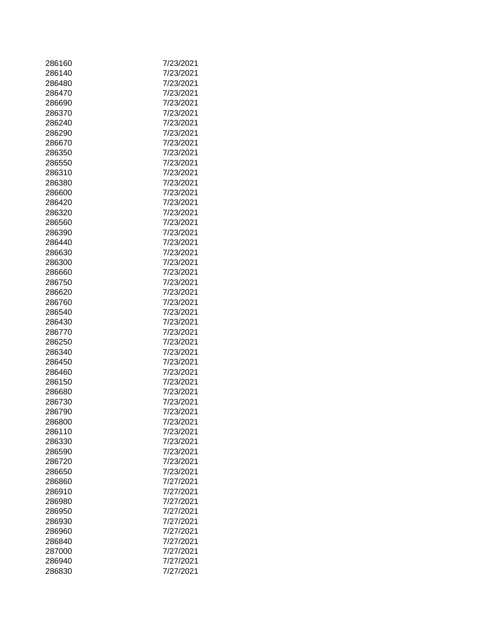| 286160 | 7/23/2021 |
|--------|-----------|
| 286140 | 7/23/2021 |
| 286480 | 7/23/2021 |
| 286470 | 7/23/2021 |
| 286690 | 7/23/2021 |
| 286370 | 7/23/2021 |
| 286240 | 7/23/2021 |
|        |           |
| 286290 | 7/23/2021 |
| 286670 | 7/23/2021 |
| 286350 | 7/23/2021 |
| 286550 | 7/23/2021 |
| 286310 | 7/23/2021 |
| 286380 | 7/23/2021 |
| 286600 | 7/23/2021 |
| 286420 | 7/23/2021 |
| 286320 | 7/23/2021 |
| 286560 | 7/23/2021 |
| 286390 | 7/23/2021 |
| 286440 | 7/23/2021 |
| 286630 | 7/23/2021 |
| 286300 | 7/23/2021 |
| 286660 | 7/23/2021 |
| 286750 | 7/23/2021 |
| 286620 | 7/23/2021 |
| 286760 | 7/23/2021 |
| 286540 | 7/23/2021 |
| 286430 | 7/23/2021 |
|        |           |
| 286770 | 7/23/2021 |
| 286250 | 7/23/2021 |
| 286340 | 7/23/2021 |
| 286450 | 7/23/2021 |
| 286460 | 7/23/2021 |
| 286150 | 7/23/2021 |
| 286680 | 7/23/2021 |
| 286730 | 7/23/2021 |
| 286790 | 7/23/2021 |
| 286800 | 7/23/2021 |
| 286110 | 7/23/2021 |
| 286330 | 7/23/2021 |
| 286590 | 7/23/2021 |
| 286720 | 7/23/2021 |
| 286650 | 7/23/2021 |
| 286860 | 7/27/2021 |
| 286910 | 7/27/2021 |
| 286980 | 7/27/2021 |
| 286950 | 7/27/2021 |
| 286930 | 7/27/2021 |
| 286960 | 7/27/2021 |
| 286840 | 7/27/2021 |
| 287000 | 7/27/2021 |
|        |           |
| 286940 | 7/27/2021 |
| 286830 | 7/27/2021 |